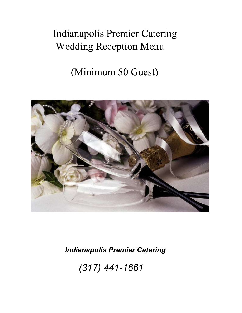# Indianapolis Premier Catering Wedding Reception Menu

## (Minimum 50 Guest)



Indianapolis Premier Catering

(317) 441-1661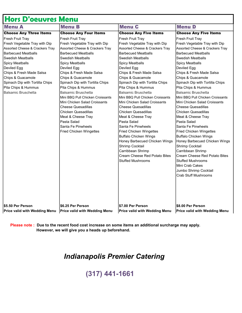| <b>Hors D'oeuvres Menu</b>           |                                      |                                      |                                      |  |  |
|--------------------------------------|--------------------------------------|--------------------------------------|--------------------------------------|--|--|
| <b>Menu A</b>                        | <b>Menu B</b>                        | <b>Menu C</b>                        | <b>MenuD</b>                         |  |  |
| <b>Choose Any Three Items</b>        | <b>Choose Any Four Items</b>         | <b>Choose Any Five Items</b>         | <b>Choose Any Five Items</b>         |  |  |
| <b>Fresh Fruit Tray</b>              | Fresh Fruit Tray                     | Fresh Fruit Tray                     | Fresh Fruit Tray                     |  |  |
| Fresh Vegetable Tray with Dip        | Fresh Vegetable Tray with Dip        | Fresh Vegetable Tray with Dip        | Fresh Vegetable Tray with Dip        |  |  |
| Assorted Cheese & Crackers Tray      | Assorted Cheese & Crackers Tray      | Assorted Cheese & Crackers Tray      | Assorted Cheese & Crackers Tray      |  |  |
| Barbecued Meatballs                  | <b>Barbecued Meatballs</b>           | <b>Barbecued Meatballs</b>           | Barbecued Meatballs                  |  |  |
| <b>Swedish Meatballs</b>             | Swedish Meatballs                    | <b>Swedish Meatballs</b>             | <b>Swedish Meatballs</b>             |  |  |
| Spicy Meatballs                      | Spicy Meatballs                      | Spicy Meatballs                      | <b>Spicy Meatballs</b>               |  |  |
| Deviled Egg                          | Deviled Egg                          | Deviled Egg                          | Deviled Egg                          |  |  |
| Chips & Fresh Made Salsa             | Chips & Fresh Made Salsa             | Chips & Fresh Made Salsa             | Chips & Fresh Made Salsa             |  |  |
| Chips & Guacamole                    | Chips & Guacamole                    | Chips & Guacamole                    | Chips & Guacamole                    |  |  |
| Spinach Dip with Tortilla Chips      | Spinach Dip with Tortilla Chips      | Spinach Dip with Tortilla Chips      | Spinach Dip with Tortilla Chips      |  |  |
| Pita Chips & Hummus                  | Pita Chips & Hummus                  | Pita Chips & Hummus                  | Pita Chips & Hummus                  |  |  |
| <b>Balsamic Bruschetta</b>           | Balsamic Bruschetta                  | <b>Balsamic Bruschetta</b>           | <b>Balsamic Bruschetta</b>           |  |  |
|                                      | Mini BBQ Pull Chicken Croissants     | Mini BBQ Pull Chicken Croissants     | Mini BBQ Pull Chicken Croissants     |  |  |
|                                      | Mini Chicken Salad Croissants        | Mini Chicken Salad Croissants        | Mini Chicken Salad Croissants        |  |  |
|                                      | Cheese Quesadillas                   | <b>Cheese Quesadillas</b>            | <b>Cheese Quesadillas</b>            |  |  |
|                                      | <b>Chicken Quesadillas</b>           | <b>Chicken Quesadillas</b>           | <b>Chicken Quesadillas</b>           |  |  |
|                                      | Meat & Cheese Tray                   | Meat & Cheese Tray                   | Meat & Cheese Tray                   |  |  |
|                                      | Pasta Salad                          | Pasta Salad                          | Pasta Salad                          |  |  |
|                                      | Santa Fe Pinwheels                   | Santa Fe Pinwheels                   | Santa Fe Pinwheels                   |  |  |
|                                      | <b>Fried Chicken Wingettes</b>       | <b>Fried Chicken Wingettes</b>       | <b>Fried Chicken Wingettes</b>       |  |  |
|                                      |                                      | <b>Buffalo Chicken Wings</b>         | <b>Buffalo Chicken Wings</b>         |  |  |
|                                      |                                      | Honey Barbecued Chicken Wings        | Honey Barbecued Chicken Wings        |  |  |
|                                      |                                      | Shrimp Cocktail                      | Shrimp Cocktail                      |  |  |
|                                      |                                      | Carribbean Shrimp                    | Carribbean Shrimp                    |  |  |
|                                      |                                      | Cream Cheese Red Potato Bites        | Cream Cheese Red Potato Bites        |  |  |
|                                      |                                      | <b>Stuffed Mushrooms</b>             | <b>Stuffed Mushrooms</b>             |  |  |
|                                      |                                      |                                      | Mini Crab Cakes                      |  |  |
|                                      |                                      |                                      | Jumbo Shrimp Cocktail                |  |  |
|                                      |                                      |                                      | <b>Crab Stuff Mushrooms</b>          |  |  |
|                                      |                                      |                                      |                                      |  |  |
|                                      |                                      |                                      |                                      |  |  |
|                                      |                                      |                                      |                                      |  |  |
|                                      |                                      |                                      |                                      |  |  |
| \$5.50 Per Person                    | \$6.25 Per Person                    | \$7.00 Per Person                    | \$8.00 Per Person                    |  |  |
| <b>Price valid with Wedding Menu</b> | <b>Price valid with Wedding Menu</b> | <b>Price valid with Wedding Menu</b> | <b>Price valid with Wedding Menu</b> |  |  |

Please note : Due to the recent food cost increase on some items an additional surcharge may apply. However, we will give you a heads up beforehand.

## Indianapolis Premier Catering

(317) 441-1661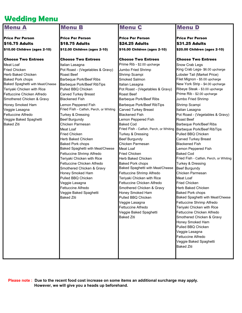## Wedding Menu

#### Menu A Menu B Menu C Menu D

Price Per Person Price Per Person Price Per Person Price Per Person Price Per Person \$16.75 Adults \$18.75 Adults \$24.25 Adults \$31.25 Adults \$10.00 Children (ages 2-10) \$12.00 Children (ages 2-10) \$16.00 Children (ages 2-10) \$20.00 Children (ages 2-10)

| <b>Choose Two Entrees</b>        | <b>Choose Two Entrees</b>               | <b>Choose Two Entrees</b>                                          | <b>Choose Two Entrees</b>               |
|----------------------------------|-----------------------------------------|--------------------------------------------------------------------|-----------------------------------------|
| Meat Loaf                        | Italian Lasagna                         | Prime Rib - \$2.00 upcharge                                        | Snow Crab Legs                          |
| <b>Fried Chicken</b>             | Pot Roast - (Vegetables & Gravy)        | Jumbo Fried Shrimp                                                 | King Crab Legs- \$6.00 upcharge         |
| Herb Baked Chicken               | Roast Beef                              | Shrimp Scampi                                                      | Lobster Tail (Market Price)             |
| <b>Baked Pork chops</b>          | <b>Barbeque Pork/Beef Ribs</b>          | Smoked Salmon                                                      | Filet Mignon - \$5.00 upcharge          |
| Baked Spaghetti with Meat/Cheese | Barbeque Pork/Beef RibTips              | Italian Lasagna                                                    | New York Strip - \$4.00 upcharge        |
| Teriyaki Chicken with Rice       | Pulled BBQ Chicken                      | Pot Roast - (Vegetables & Gravy)                                   | Ribeye Steak - \$3.00 upcharge          |
| Fettuccine Chicken Alfredo       | <b>Carved Turkey Breast</b>             | Roast Beef                                                         | Prime Rib - \$2.00 upcharge             |
| Smothered Chicken & Gravy        | <b>Blackened Fish</b>                   | Barbeque Pork/Beef Ribs                                            | Jumbo Fried Shrimp                      |
| Honey Smoked Ham                 | Lemon Peppered Fish                     | <b>Barbeque Pork/Beef RibTips</b>                                  | Shrimp Scampi                           |
| Veggie Lasagna                   | Fried Fish - Catfish, Perch, or Whiting | Carved Turkey Breast                                               | Italian Lasagna                         |
| Fettuccine Alfredo               | Turkey & Dressing                       | Blackened Fish                                                     | Pot Roast - (Vegetables & Gravy)        |
| Veggie Baked Spaghetti           | Beef Burgundy                           | Lemon Peppered Fish                                                | Roast Beef                              |
| <b>Baked Ziti</b>                | Chicken Parmesan                        | Baked Cod                                                          | <b>Barbeque Pork/Beef Ribs</b>          |
|                                  | Meat Loaf                               | Fried Fish - Catfish, Perch, or Whiting Barbeque Pork/Beef RibTips |                                         |
|                                  | <b>Fried Chicken</b>                    | Turkey & Dressing                                                  | Pulled BBQ Chicken                      |
|                                  | Herb Baked Chicken                      | <b>Beef Burgundy</b>                                               | Carved Turkey Breast                    |
|                                  | <b>Baked Pork chops</b>                 | Chicken Parmesan                                                   | <b>Blackened Fish</b>                   |
|                                  | Baked Spaghetti with Meat/Cheese        | Meat Loaf                                                          | Lemon Peppered Fish                     |
|                                  | Fettuccine Shrimp Alfredo               | Fried Chicken                                                      | <b>Baked Cod</b>                        |
|                                  | Teriyaki Chicken with Rice              | Herb Baked Chicken                                                 | Fried Fish - Catfish, Perch, or Whiting |
|                                  | Fettuccine Chicken Alfredo              | <b>Baked Pork chops</b>                                            | Turkey & Dressing                       |
|                                  | Smothered Chicken & Gravy               | Baked Spaghetti with Meat/Cheese                                   | <b>Beef Burgundy</b>                    |
|                                  | Honey Smoked Ham                        | Fettuccine Shrimp Alfredo                                          | Chicken Parmesan                        |
|                                  | Pulled BBQ Chicken                      | Teriyaki Chicken with Rice                                         | Meat Loaf                               |
|                                  | Veggie Lasagna                          | Fettuccine Chicken Alfredo                                         | <b>Fried Chicken</b>                    |
|                                  | Fettuccine Alfredo                      | Smothered Chicken & Gravy                                          | Herb Baked Chicken                      |
|                                  | Veggie Baked Spaghetti                  | Honey Smoked Ham                                                   | <b>Baked Pork chops</b>                 |
|                                  | <b>Baked Ziti</b>                       | Pulled BBQ Chicken                                                 | Baked Spaghetti with Meat/Cheese        |
|                                  |                                         | Veggie Lasagna                                                     | Fettuccine Shrimp Alfredo               |
|                                  |                                         | Fettuccine Alfredo                                                 | Teriyaki Chicken with Rice              |
|                                  |                                         | Veggie Baked Spaghetti                                             | Fettuccine Chicken Alfredo              |
|                                  |                                         | Baked Ziti                                                         | Smothered Chicken & Gravy               |
|                                  |                                         |                                                                    | Honey Smoked Ham                        |
|                                  |                                         |                                                                    | Pulled BBQ Chicken                      |
|                                  |                                         |                                                                    | Veggie Lasagna                          |
|                                  |                                         |                                                                    | Fettuccine Alfredo                      |
|                                  |                                         |                                                                    | Veggie Baked Spaghetti                  |
|                                  |                                         |                                                                    | <b>Baked Ziti</b>                       |
|                                  |                                         |                                                                    |                                         |
|                                  |                                         |                                                                    |                                         |

Please note : Due to the recent food cost increase on some items an additional surcharge may apply. However, we will give you a heads up beforehand.